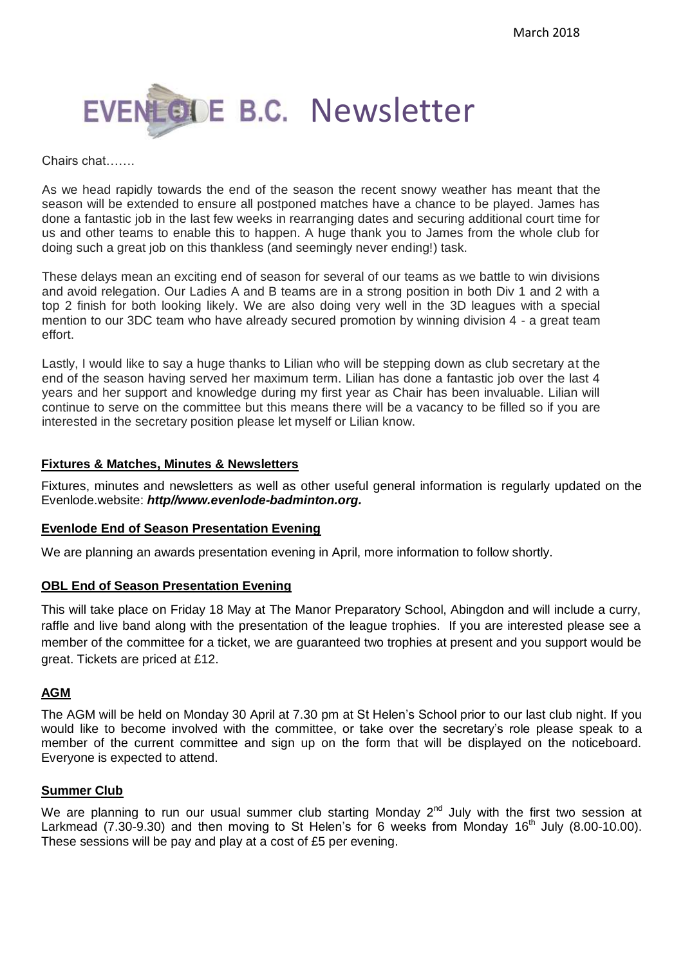

#### Chairs chat…….

As we head rapidly towards the end of the season the recent snowy weather has meant that the season will be extended to ensure all postponed matches have a chance to be played. James has done a fantastic job in the last few weeks in rearranging dates and securing additional court time for us and other teams to enable this to happen. A huge thank you to James from the whole club for doing such a great job on this thankless (and seemingly never ending!) task.

These delays mean an exciting end of season for several of our teams as we battle to win divisions and avoid relegation. Our Ladies A and B teams are in a strong position in both Div 1 and 2 with a top 2 finish for both looking likely. We are also doing very well in the 3D leagues with a special mention to our 3DC team who have already secured promotion by winning division 4 - a great team effort.

Lastly, I would like to say a huge thanks to Lilian who will be stepping down as club secretary at the end of the season having served her maximum term. Lilian has done a fantastic job over the last 4 years and her support and knowledge during my first year as Chair has been invaluable. Lilian will continue to serve on the committee but this means there will be a vacancy to be filled so if you are interested in the secretary position please let myself or Lilian know.

#### **Fixtures & Matches, Minutes & Newsletters**

Fixtures, minutes and newsletters as well as other useful general information is regularly updated on the Evenlode.website: *http//www.evenlode-badminton.org.*

#### **Evenlode End of Season Presentation Evening**

We are planning an awards presentation evening in April, more information to follow shortly.

## **OBL End of Season Presentation Evening**

This will take place on Friday 18 May at The Manor Preparatory School, Abingdon and will include a curry, raffle and live band along with the presentation of the league trophies. If you are interested please see a member of the committee for a ticket, we are guaranteed two trophies at present and you support would be great. Tickets are priced at £12.

## **AGM**

The AGM will be held on Monday 30 April at 7.30 pm at St Helen's School prior to our last club night. If you would like to become involved with the committee, or take over the secretary's role please speak to a member of the current committee and sign up on the form that will be displayed on the noticeboard. Everyone is expected to attend.

## **Summer Club**

We are planning to run our usual summer club starting Monday  $2^{nd}$  July with the first two session at Larkmead (7.30-9.30) and then moving to St Helen's for 6 weeks from Monday  $16<sup>th</sup>$  July (8.00-10.00). These sessions will be pay and play at a cost of £5 per evening.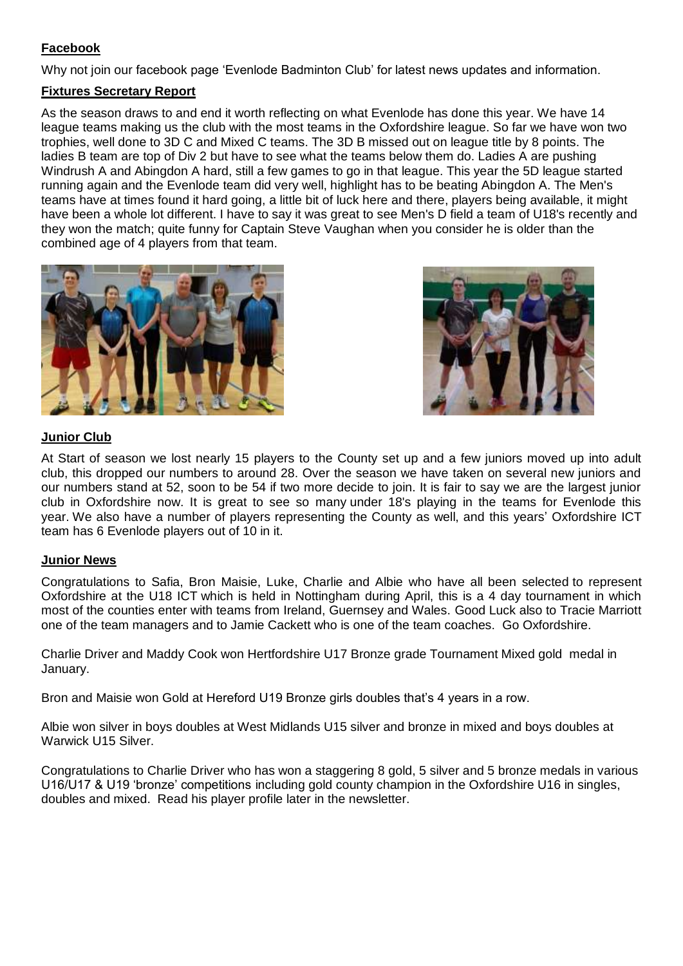# **Facebook**

Why not join our facebook page 'Evenlode Badminton Club' for latest news updates and information.

## **Fixtures Secretary Report**

As the season draws to and end it worth reflecting on what Evenlode has done this year. We have 14 league teams making us the club with the most teams in the Oxfordshire league. So far we have won two trophies, well done to 3D C and Mixed C teams. The 3D B missed out on league title by 8 points. The ladies B team are top of Div 2 but have to see what the teams below them do. Ladies A are pushing Windrush A and Abingdon A hard, still a few games to go in that league. This year the 5D league started running again and the Evenlode team did very well, highlight has to be beating Abingdon A. The Men's teams have at times found it hard going, a little bit of luck here and there, players being available, it might have been a whole lot different. I have to say it was great to see Men's D field a team of U18's recently and they won the match; quite funny for Captain Steve Vaughan when you consider he is older than the combined age of 4 players from that team.





## **Junior Club**

At Start of season we lost nearly 15 players to the County set up and a few juniors moved up into adult club, this dropped our numbers to around 28. Over the season we have taken on several new juniors and our numbers stand at 52, soon to be 54 if two more decide to join. It is fair to say we are the largest junior club in Oxfordshire now. It is great to see so many under 18's playing in the teams for Evenlode this year. We also have a number of players representing the County as well, and this years' Oxfordshire ICT team has 6 Evenlode players out of 10 in it.

## **Junior News**

Congratulations to Safia, Bron Maisie, Luke, Charlie and Albie who have all been selected to represent Oxfordshire at the U18 ICT which is held in Nottingham during April, this is a 4 day tournament in which most of the counties enter with teams from Ireland, Guernsey and Wales. Good Luck also to Tracie Marriott one of the team managers and to Jamie Cackett who is one of the team coaches. Go Oxfordshire.

Charlie Driver and Maddy Cook won Hertfordshire U17 Bronze grade Tournament Mixed gold medal in January.

Bron and Maisie won Gold at Hereford U19 Bronze girls doubles that's 4 years in a row.

Albie won silver in boys doubles at West Midlands U15 silver and bronze in mixed and boys doubles at Warwick U15 Silver.

Congratulations to Charlie Driver who has won a staggering 8 gold, 5 silver and 5 bronze medals in various U16/U17 & U19 'bronze' competitions including gold county champion in the Oxfordshire U16 in singles, doubles and mixed. Read his player profile later in the newsletter.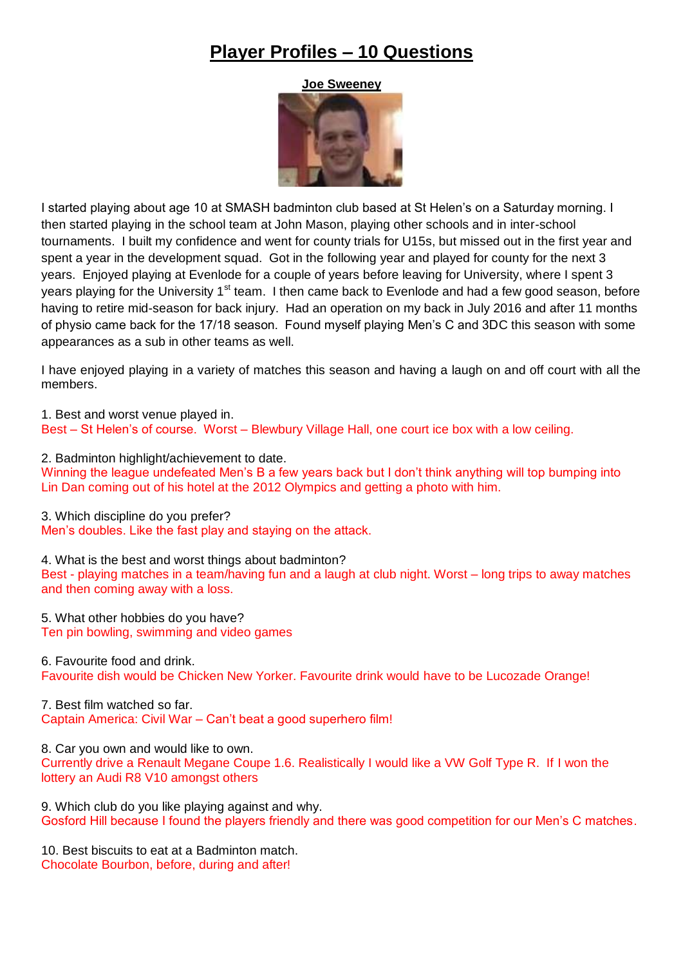# **Player Profiles – 10 Questions**

**Joe Sweeney**



I started playing about age 10 at SMASH badminton club based at St Helen's on a Saturday morning. I then started playing in the school team at John Mason, playing other schools and in inter-school tournaments. I built my confidence and went for county trials for U15s, but missed out in the first year and spent a year in the development squad. Got in the following year and played for county for the next 3 years. Enjoyed playing at Evenlode for a couple of years before leaving for University, where I spent 3 years playing for the University 1<sup>st</sup> team. I then came back to Evenlode and had a few good season, before having to retire mid-season for back injury. Had an operation on my back in July 2016 and after 11 months of physio came back for the 17/18 season. Found myself playing Men's C and 3DC this season with some appearances as a sub in other teams as well.

I have enjoyed playing in a variety of matches this season and having a laugh on and off court with all the members.

1. Best and worst venue played in. Best – St Helen's of course. Worst – Blewbury Village Hall, one court ice box with a low ceiling.

2. Badminton highlight/achievement to date.

Winning the league undefeated Men's B a few years back but I don't think anything will top bumping into Lin Dan coming out of his hotel at the 2012 Olympics and getting a photo with him.

3. Which discipline do you prefer?

Men's doubles. Like the fast play and staying on the attack.

4. What is the best and worst things about badminton?

Best - playing matches in a team/having fun and a laugh at club night. Worst – long trips to away matches and then coming away with a loss.

5. What other hobbies do you have? Ten pin bowling, swimming and video games

6. Favourite food and drink. Favourite dish would be Chicken New Yorker. Favourite drink would have to be Lucozade Orange!

7. Best film watched so far. Captain America: Civil War – Can't beat a good superhero film!

8. Car you own and would like to own.

Currently drive a Renault Megane Coupe 1.6. Realistically I would like a VW Golf Type R. If I won the lottery an Audi R8 V10 amongst others

9. Which club do you like playing against and why. Gosford Hill because I found the players friendly and there was good competition for our Men's C matches.

10. Best biscuits to eat at a Badminton match. Chocolate Bourbon, before, during and after!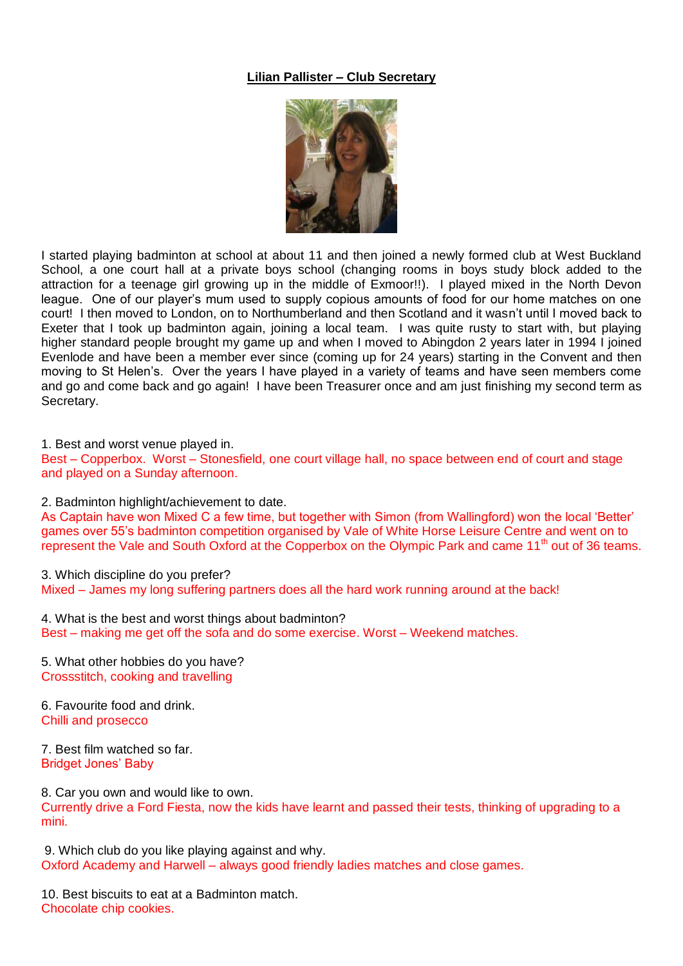## **Lilian Pallister – Club Secretary**



I started playing badminton at school at about 11 and then joined a newly formed club at West Buckland School, a one court hall at a private boys school (changing rooms in boys study block added to the attraction for a teenage girl growing up in the middle of Exmoor!!). I played mixed in the North Devon league. One of our player's mum used to supply copious amounts of food for our home matches on one court! I then moved to London, on to Northumberland and then Scotland and it wasn't until I moved back to Exeter that I took up badminton again, joining a local team. I was quite rusty to start with, but playing higher standard people brought my game up and when I moved to Abingdon 2 years later in 1994 I joined Evenlode and have been a member ever since (coming up for 24 years) starting in the Convent and then moving to St Helen's. Over the years I have played in a variety of teams and have seen members come and go and come back and go again! I have been Treasurer once and am just finishing my second term as Secretary.

1. Best and worst venue played in.

Best – Copperbox. Worst – Stonesfield, one court village hall, no space between end of court and stage and played on a Sunday afternoon.

2. Badminton highlight/achievement to date.

As Captain have won Mixed C a few time, but together with Simon (from Wallingford) won the local 'Better' games over 55's badminton competition organised by Vale of White Horse Leisure Centre and went on to represent the Vale and South Oxford at the Copperbox on the Olympic Park and came 11<sup>th</sup> out of 36 teams.

3. Which discipline do you prefer?

Mixed – James my long suffering partners does all the hard work running around at the back!

4. What is the best and worst things about badminton? Best – making me get off the sofa and do some exercise. Worst – Weekend matches.

5. What other hobbies do you have? Crossstitch, cooking and travelling

6. Favourite food and drink. Chilli and prosecco

7. Best film watched so far. Bridget Jones' Baby

8. Car you own and would like to own. Currently drive a Ford Fiesta, now the kids have learnt and passed their tests, thinking of upgrading to a mini.

9. Which club do you like playing against and why. Oxford Academy and Harwell – always good friendly ladies matches and close games.

10. Best biscuits to eat at a Badminton match. Chocolate chip cookies.